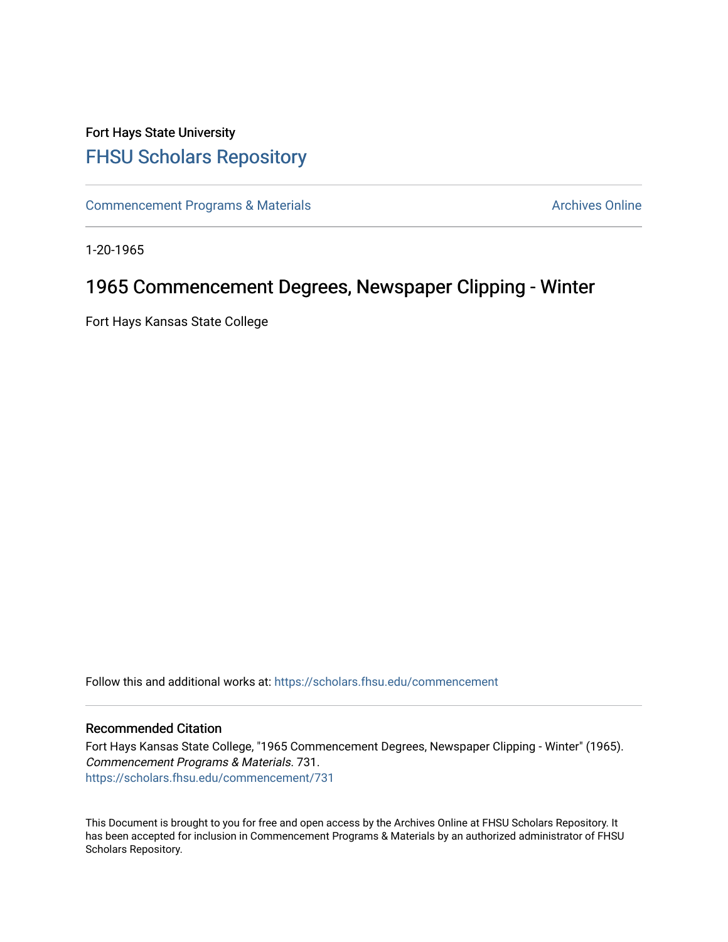## Fort Hays State University [FHSU Scholars Repository](https://scholars.fhsu.edu/)

[Commencement Programs & Materials](https://scholars.fhsu.edu/commencement) **Archives Online** Archives Online

1-20-1965

## 1965 Commencement Degrees, Newspaper Clipping - Winter

Fort Hays Kansas State College

Follow this and additional works at: [https://scholars.fhsu.edu/commencement](https://scholars.fhsu.edu/commencement?utm_source=scholars.fhsu.edu%2Fcommencement%2F731&utm_medium=PDF&utm_campaign=PDFCoverPages)

## Recommended Citation

Fort Hays Kansas State College, "1965 Commencement Degrees, Newspaper Clipping - Winter" (1965). Commencement Programs & Materials. 731. [https://scholars.fhsu.edu/commencement/731](https://scholars.fhsu.edu/commencement/731?utm_source=scholars.fhsu.edu%2Fcommencement%2F731&utm_medium=PDF&utm_campaign=PDFCoverPages)

This Document is brought to you for free and open access by the Archives Online at FHSU Scholars Repository. It has been accepted for inclusion in Commencement Programs & Materials by an authorized administrator of FHSU Scholars Repository.